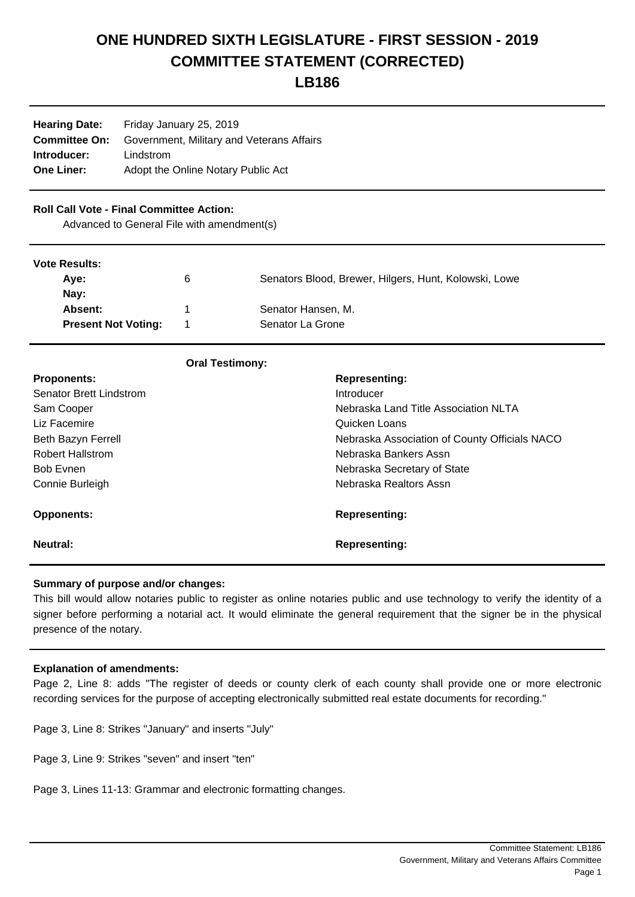# **ONE HUNDRED SIXTH LEGISLATURE - FIRST SESSION - 2019 COMMITTEE STATEMENT (CORRECTED)**

# **LB186**

| <b>Hearing Date:</b> | Friday January 25, 2019                   |  |
|----------------------|-------------------------------------------|--|
| <b>Committee On:</b> | Government, Military and Veterans Affairs |  |
| Introducer:          | Lindstrom                                 |  |
| <b>One Liner:</b>    | Adopt the Online Notary Public Act        |  |
|                      |                                           |  |

# **Roll Call Vote - Final Committee Action:**

Advanced to General File with amendment(s)

#### **Vote Results:**

| $\sqrt{2}$                 |   |                                                       |  |  |
|----------------------------|---|-------------------------------------------------------|--|--|
| Ave:                       | 6 | Senators Blood, Brewer, Hilgers, Hunt, Kolowski, Lowe |  |  |
| Nay:                       |   |                                                       |  |  |
| <b>Absent:</b>             |   | Senator Hansen, M.                                    |  |  |
| <b>Present Not Voting:</b> |   | Senator La Grone                                      |  |  |
|                            |   |                                                       |  |  |

| <b>Oral Testimony:</b>         |                                               |
|--------------------------------|-----------------------------------------------|
| <b>Proponents:</b>             | <b>Representing:</b>                          |
| <b>Senator Brett Lindstrom</b> | Introducer                                    |
| Sam Cooper                     | Nebraska Land Title Association NLTA          |
| Liz Facemire                   | Quicken Loans                                 |
| Beth Bazyn Ferrell             | Nebraska Association of County Officials NACO |
| <b>Robert Hallstrom</b>        | Nebraska Bankers Assn                         |
| <b>Bob Evnen</b>               | Nebraska Secretary of State                   |
| Connie Burleigh                | Nebraska Realtors Assn                        |
|                                |                                               |
| <b>Opponents:</b>              | <b>Representing:</b>                          |
|                                |                                               |
| Neutral:                       | <b>Representing:</b>                          |
|                                |                                               |

## **Summary of purpose and/or changes:**

This bill would allow notaries public to register as online notaries public and use technology to verify the identity of a signer before performing a notarial act. It would eliminate the general requirement that the signer be in the physical presence of the notary.

## **Explanation of amendments:**

Page 2, Line 8: adds "The register of deeds or county clerk of each county shall provide one or more electronic recording services for the purpose of accepting electronically submitted real estate documents for recording."

Page 3, Line 8: Strikes "January" and inserts "July"

Page 3, Line 9: Strikes "seven" and insert "ten"

Page 3, Lines 11-13: Grammar and electronic formatting changes.